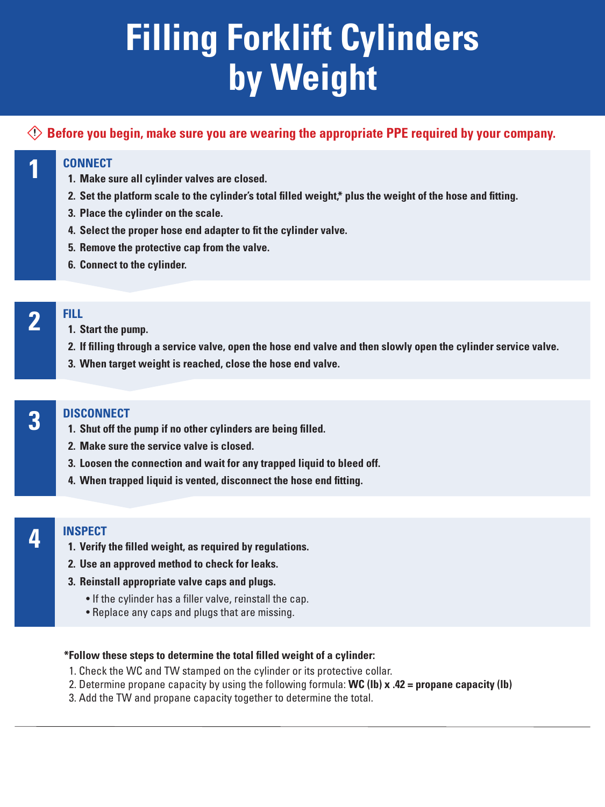#### **CONNECT**

- **1. Make sure all cylinder valves are closed.**
- **2. Set the platform scale to the cylinder's total filled weight,\* plus the weight of the hose and fitting.**
- **3. Place the cylinder on the scale.**
- **4. Select the proper hose end adapter to fit the cylinder valve.**
- **5. Remove the protective cap from the valve.**
- **6. Connect to the cylinder.**

### **FILL**

- **1. Start the pump.**
- **2. If filling through a service valve, open the hose end valve and then slowly open the cylinder service valve.**
- **3. When target weight is reached, close the hose end valve.**

- **1. Shut off the pump if no other cylinders are being filled.**
- **2. Make sure the service valve is closed.**
- **3. Loosen the connection and wait for any trapped liquid to bleed off.**
- **4. When trapped liquid is vented, disconnect the hose end fitting.**

### **INSPECT**

- **1. Verify the filled weight, as required by regulations.**
- **2. Use an approved method to check for leaks.**
- **3. Reinstall appropriate valve caps and plugs.**
	- If the cylinder has a filler valve, reinstall the cap.
	- Replace any caps and plugs that are missing.

# **Filling Forklift Cylinders by Weight**

#### **\*Follow these steps to determine the total filled weight of a cylinder:**

- 1. Check the WC and TW stamped on the cylinder or its protective collar.
- 2. Determine propane capacity by using the following formula: **WC (lb) x .42 = propane capacity (lb)**
- 3. Add the TW and propane capacity together to determine the total.

**1**

### **2**

**Before you begin, make sure you are wearing the appropriate PPE required by your company.**